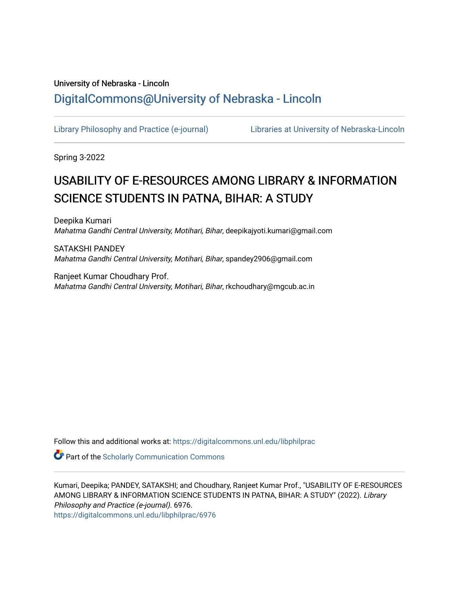## University of Nebraska - Lincoln [DigitalCommons@University of Nebraska - Lincoln](https://digitalcommons.unl.edu/)

[Library Philosophy and Practice \(e-journal\)](https://digitalcommons.unl.edu/libphilprac) [Libraries at University of Nebraska-Lincoln](https://digitalcommons.unl.edu/libraries) 

Spring 3-2022

# USABILITY OF E-RESOURCES AMONG LIBRARY & INFORMATION SCIENCE STUDENTS IN PATNA, BIHAR: A STUDY

Deepika Kumari Mahatma Gandhi Central University, Motihari, Bihar, deepikajyoti.kumari@gmail.com

SATAKSHI PANDEY Mahatma Gandhi Central University, Motihari, Bihar, spandey2906@gmail.com

Ranjeet Kumar Choudhary Prof. Mahatma Gandhi Central University, Motihari, Bihar, rkchoudhary@mgcub.ac.in

Follow this and additional works at: [https://digitalcommons.unl.edu/libphilprac](https://digitalcommons.unl.edu/libphilprac?utm_source=digitalcommons.unl.edu%2Flibphilprac%2F6976&utm_medium=PDF&utm_campaign=PDFCoverPages) 

**Part of the Scholarly Communication Commons** 

Kumari, Deepika; PANDEY, SATAKSHI; and Choudhary, Ranjeet Kumar Prof., "USABILITY OF E-RESOURCES AMONG LIBRARY & INFORMATION SCIENCE STUDENTS IN PATNA, BIHAR: A STUDY" (2022). Library Philosophy and Practice (e-journal). 6976. [https://digitalcommons.unl.edu/libphilprac/6976](https://digitalcommons.unl.edu/libphilprac/6976?utm_source=digitalcommons.unl.edu%2Flibphilprac%2F6976&utm_medium=PDF&utm_campaign=PDFCoverPages)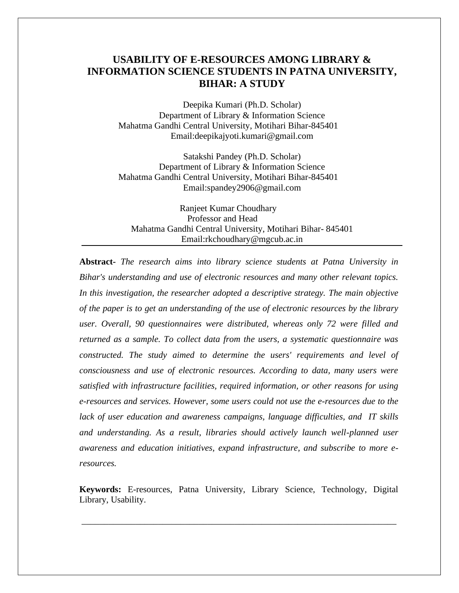## **USABILITY OF E-RESOURCES AMONG LIBRARY & INFORMATION SCIENCE STUDENTS IN PATNA UNIVERSITY, BIHAR: A STUDY**

Deepika Kumari (Ph.D. Scholar) Department of Library & Information Science Mahatma Gandhi Central University, Motihari Bihar-845401 Email:deepikajyoti.kumari@gmail.com

Satakshi Pandey (Ph.D. Scholar) Department of Library & Information Science Mahatma Gandhi Central University, Motihari Bihar-845401 Email:spandey2906@gmail.com

Ranjeet Kumar Choudhary Professor and Head Mahatma Gandhi Central University, Motihari Bihar- 845401 Email:rkchoudhary@mgcub.ac.in

**Abstract-** *The research aims into library science students at Patna University in Bihar's understanding and use of electronic resources and many other relevant topics. In this investigation, the researcher adopted a descriptive strategy. The main objective of the paper is to get an understanding of the use of electronic resources by the library user. Overall, 90 questionnaires were distributed, whereas only 72 were filled and returned as a sample. To collect data from the users, a systematic questionnaire was constructed. The study aimed to determine the users' requirements and level of consciousness and use of electronic resources. According to data, many users were satisfied with infrastructure facilities, required information, or other reasons for using e-resources and services. However, some users could not use the e-resources due to the lack of user education and awareness campaigns, language difficulties, and IT skills and understanding. As a result, libraries should actively launch well-planned user awareness and education initiatives, expand infrastructure, and subscribe to more eresources.*

**Keywords:** E-resources, Patna University, Library Science, Technology, Digital Library, Usability.

\_\_\_\_\_\_\_\_\_\_\_\_\_\_\_\_\_\_\_\_\_\_\_\_\_\_\_\_\_\_\_\_\_\_\_\_\_\_\_\_\_\_\_\_\_\_\_\_\_\_\_\_\_\_\_\_\_\_\_\_\_\_\_\_\_\_\_\_\_\_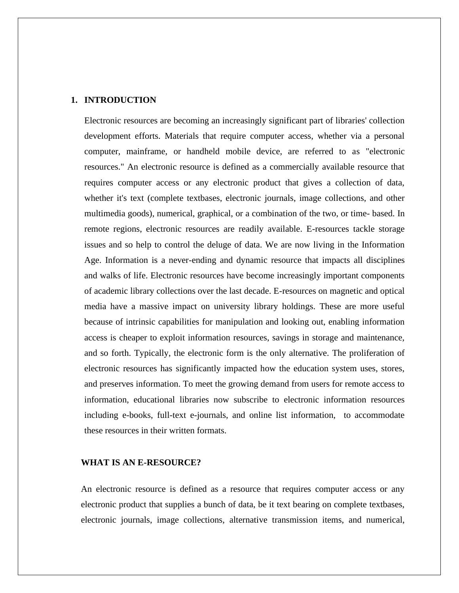## **1. INTRODUCTION**

Electronic resources are becoming an increasingly significant part of libraries' collection development efforts. Materials that require computer access, whether via a personal computer, mainframe, or handheld mobile device, are referred to as "electronic resources." An electronic resource is defined as a commercially available resource that requires computer access or any electronic product that gives a collection of data, whether it's text (complete textbases, electronic journals, image collections, and other multimedia goods), numerical, graphical, or a combination of the two, or time- based. In remote regions, electronic resources are readily available. E-resources tackle storage issues and so help to control the deluge of data. We are now living in the Information Age. Information is a never-ending and dynamic resource that impacts all disciplines and walks of life. Electronic resources have become increasingly important components of academic library collections over the last decade. E-resources on magnetic and optical media have a massive impact on university library holdings. These are more useful because of intrinsic capabilities for manipulation and looking out, enabling information access is cheaper to exploit information resources, savings in storage and maintenance, and so forth. Typically, the electronic form is the only alternative. The proliferation of electronic resources has significantly impacted how the education system uses, stores, and preserves information. To meet the growing demand from users for remote access to information, educational libraries now subscribe to electronic information resources including e-books, full-text e-journals, and online list information, to accommodate these resources in their written formats.

#### **WHAT IS AN E-RESOURCE?**

An electronic resource is defined as a resource that requires computer access or any electronic product that supplies a bunch of data, be it text bearing on complete textbases, electronic journals, image collections, alternative transmission items, and numerical,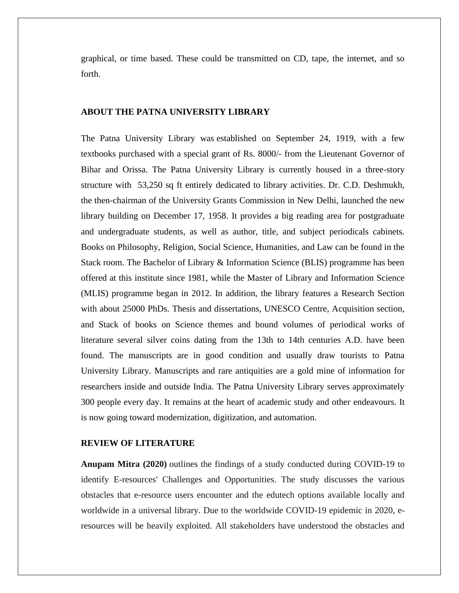graphical, or time based. These could be transmitted on CD, tape, the internet, and so forth.

#### **ABOUT THE PATNA UNIVERSITY LIBRARY**

The Patna University Library was established on September 24, 1919, with a few textbooks purchased with a special grant of Rs. 8000/- from the Lieutenant Governor of Bihar and Orissa. The Patna University Library is currently housed in a three-story structure with 53,250 sq ft entirely dedicated to library activities. Dr. C.D. Deshmukh, the then-chairman of the University Grants Commission in New Delhi, launched the new library building on December 17, 1958. It provides a big reading area for postgraduate and undergraduate students, as well as author, title, and subject periodicals cabinets. Books on Philosophy, Religion, Social Science, Humanities, and Law can be found in the Stack room. The Bachelor of Library & Information Science (BLIS) programme has been offered at this institute since 1981, while the Master of Library and Information Science (MLIS) programme began in 2012. In addition, the library features a Research Section with about 25000 PhDs. Thesis and dissertations, UNESCO Centre, Acquisition section, and Stack of books on Science themes and bound volumes of periodical works of literature several silver coins dating from the 13th to 14th centuries A.D. have been found. The manuscripts are in good condition and usually draw tourists to Patna University Library. Manuscripts and rare antiquities are a gold mine of information for researchers inside and outside India. The Patna University Library serves approximately 300 people every day. It remains at the heart of academic study and other endeavours. It is now going toward modernization, digitization, and automation.

#### **REVIEW OF LITERATURE**

**Anupam Mitra (2020)** outlines the findings of a study conducted during COVID-19 to identify E-resources' Challenges and Opportunities. The study discusses the various obstacles that e-resource users encounter and the edutech options available locally and worldwide in a universal library. Due to the worldwide COVID-19 epidemic in 2020, eresources will be heavily exploited. All stakeholders have understood the obstacles and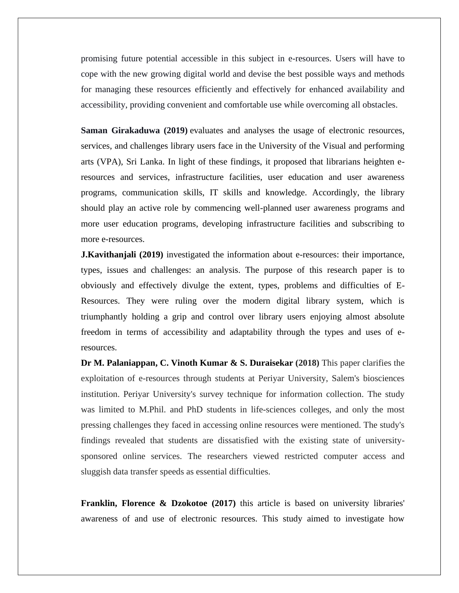promising future potential accessible in this subject in e-resources. Users will have to cope with the new growing digital world and devise the best possible ways and methods for managing these resources efficiently and effectively for enhanced availability and accessibility, providing convenient and comfortable use while overcoming all obstacles.

**Saman Girakaduwa (2019)** evaluates and analyses the usage of electronic resources, services, and challenges library users face in the University of the Visual and performing arts (VPA), Sri Lanka. In light of these findings, it proposed that librarians heighten eresources and services, infrastructure facilities, user education and user awareness programs, communication skills, IT skills and knowledge. Accordingly, the library should play an active role by commencing well-planned user awareness programs and more user education programs, developing infrastructure facilities and subscribing to more e-resources.

**J.Kavithanjali (2019)** investigated the information about e-resources: their importance, types, issues and challenges: an analysis. The purpose of this research paper is to obviously and effectively divulge the extent, types, problems and difficulties of E-Resources. They were ruling over the modern digital library system, which is triumphantly holding a grip and control over library users enjoying almost absolute freedom in terms of accessibility and adaptability through the types and uses of eresources.

**Dr M. Palaniappan, C. Vinoth Kumar & S. Duraisekar (2018)** This paper clarifies the exploitation of e-resources through students at Periyar University, Salem's biosciences institution. Periyar University's survey technique for information collection. The study was limited to M.Phil. and PhD students in life-sciences colleges, and only the most pressing challenges they faced in accessing online resources were mentioned. The study's findings revealed that students are dissatisfied with the existing state of universitysponsored online services. The researchers viewed restricted computer access and sluggish data transfer speeds as essential difficulties.

**Franklin, Florence & Dzokotoe (2017)** this article is based on university libraries' awareness of and use of electronic resources. This study aimed to investigate how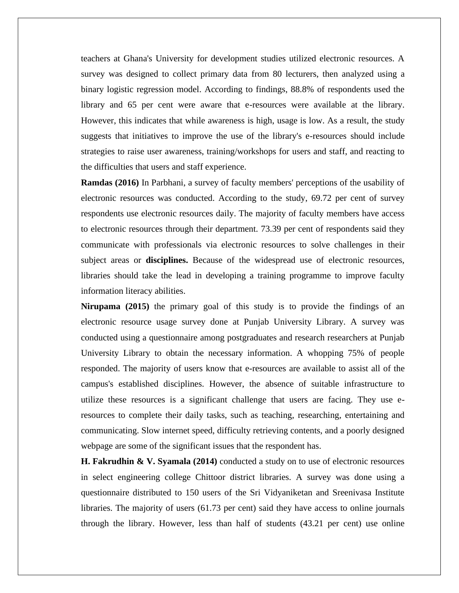teachers at Ghana's University for development studies utilized electronic resources. A survey was designed to collect primary data from 80 lecturers, then analyzed using a binary logistic regression model. According to findings, 88.8% of respondents used the library and 65 per cent were aware that e-resources were available at the library. However, this indicates that while awareness is high, usage is low. As a result, the study suggests that initiatives to improve the use of the library's e-resources should include strategies to raise user awareness, training/workshops for users and staff, and reacting to the difficulties that users and staff experience.

**Ramdas (2016)** In Parbhani, a survey of faculty members' perceptions of the usability of electronic resources was conducted. According to the study, 69.72 per cent of survey respondents use electronic resources daily. The majority of faculty members have access to electronic resources through their department. 73.39 per cent of respondents said they communicate with professionals via electronic resources to solve challenges in their subject areas or **disciplines.** Because of the widespread use of electronic resources, libraries should take the lead in developing a training programme to improve faculty information literacy abilities.

**Nirupama (2015)** the primary goal of this study is to provide the findings of an electronic resource usage survey done at Punjab University Library. A survey was conducted using a questionnaire among postgraduates and research researchers at Punjab University Library to obtain the necessary information. A whopping 75% of people responded. The majority of users know that e-resources are available to assist all of the campus's established disciplines. However, the absence of suitable infrastructure to utilize these resources is a significant challenge that users are facing. They use eresources to complete their daily tasks, such as teaching, researching, entertaining and communicating. Slow internet speed, difficulty retrieving contents, and a poorly designed webpage are some of the significant issues that the respondent has.

**H. Fakrudhin & V. Syamala (2014)** conducted a study on to use of electronic resources in select engineering college Chittoor district libraries. A survey was done using a questionnaire distributed to 150 users of the Sri Vidyaniketan and Sreenivasa Institute libraries. The majority of users (61.73 per cent) said they have access to online journals through the library. However, less than half of students (43.21 per cent) use online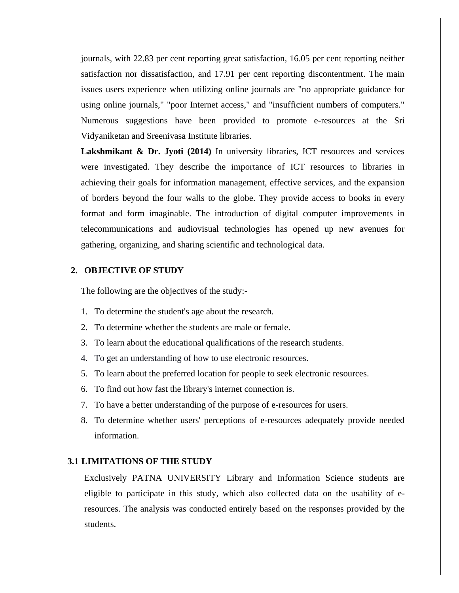journals, with 22.83 per cent reporting great satisfaction, 16.05 per cent reporting neither satisfaction nor dissatisfaction, and 17.91 per cent reporting discontentment. The main issues users experience when utilizing online journals are "no appropriate guidance for using online journals," "poor Internet access," and "insufficient numbers of computers." Numerous suggestions have been provided to promote e-resources at the Sri Vidyaniketan and Sreenivasa Institute libraries.

**Lakshmikant & Dr. Jyoti (2014)** In university libraries, ICT resources and services were investigated. They describe the importance of ICT resources to libraries in achieving their goals for information management, effective services, and the expansion of borders beyond the four walls to the globe. They provide access to books in every format and form imaginable. The introduction of digital computer improvements in telecommunications and audiovisual technologies has opened up new avenues for gathering, organizing, and sharing scientific and technological data.

#### **2. OBJECTIVE OF STUDY**

The following are the objectives of the study:-

- 1. To determine the student's age about the research.
- 2. To determine whether the students are male or female.
- 3. To learn about the educational qualifications of the research students.
- 4. To get an understanding of how to use electronic resources.
- 5. To learn about the preferred location for people to seek electronic resources.
- 6. To find out how fast the library's internet connection is.
- 7. To have a better understanding of the purpose of e-resources for users.
- 8. To determine whether users' perceptions of e-resources adequately provide needed information.

## **3.1 LIMITATIONS OF THE STUDY**

Exclusively PATNA UNIVERSITY Library and Information Science students are eligible to participate in this study, which also collected data on the usability of eresources. The analysis was conducted entirely based on the responses provided by the students.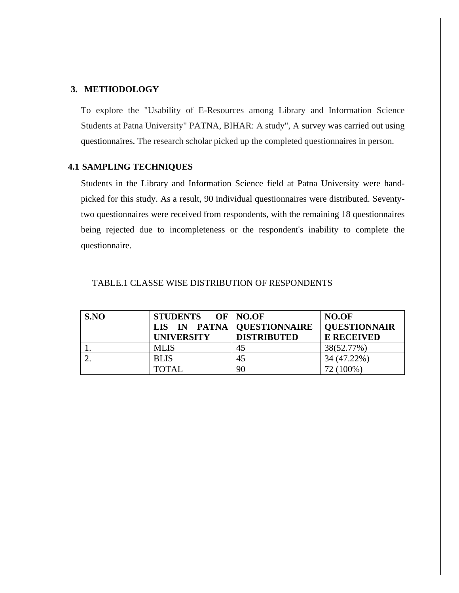#### **3. METHODOLOGY**

To explore the "Usability of E-Resources among Library and Information Science Students at Patna University" PATNA, BIHAR: A study", A survey was carried out using questionnaires. The research scholar picked up the completed questionnaires in person.

## **4.1 SAMPLING TECHNIQUES**

Students in the Library and Information Science field at Patna University were handpicked for this study. As a result, 90 individual questionnaires were distributed. Seventytwo questionnaires were received from respondents, with the remaining 18 questionnaires being rejected due to incompleteness or the respondent's inability to complete the questionnaire.

| S.NO | STUDENTS OF NO.OF |                              | NO.OF               |
|------|-------------------|------------------------------|---------------------|
|      |                   | LIS IN PATNA   QUESTIONNAIRE | <b>QUESTIONNAIR</b> |
|      | <b>UNIVERSITY</b> | <b>DISTRIBUTED</b>           | <b>E RECEIVED</b>   |
|      | <b>MLIS</b>       | 45                           | 38(52.77%)          |
|      | <b>BLIS</b>       | 45                           | 34 (47.22%)         |
|      | <b>TOTAL</b>      | 90                           | 72 (100%)           |

#### TABLE.1 CLASSE WISE DISTRIBUTION OF RESPONDENTS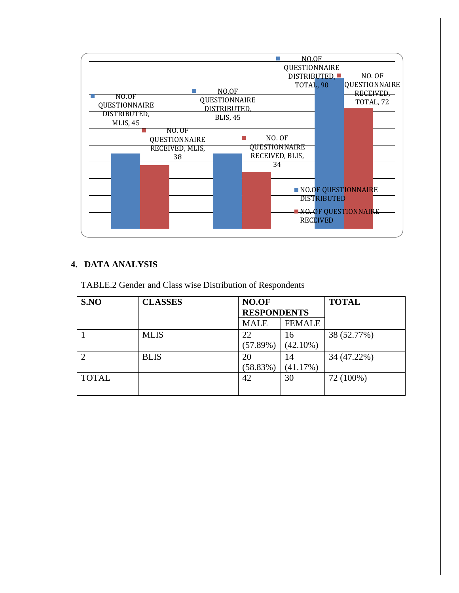

## **4. DATA ANALYSIS**

TABLE.2 Gender and Class wise Distribution of Respondents

| S.NO           | <b>CLASSES</b> | NO.OF<br><b>RESPONDENTS</b> |               | <b>TOTAL</b> |
|----------------|----------------|-----------------------------|---------------|--------------|
|                |                | <b>MALE</b>                 | <b>FEMALE</b> |              |
|                | <b>MLIS</b>    | 22                          | 16            | 38 (52.77%)  |
|                |                | (57.89%)                    | $(42.10\%)$   |              |
| $\overline{2}$ | <b>BLIS</b>    | 20                          | 14            | 34 (47.22%)  |
|                |                | (58.83%)                    | (41.17%)      |              |
| <b>TOTAL</b>   |                | 42                          | 30            | 72 (100%)    |
|                |                |                             |               |              |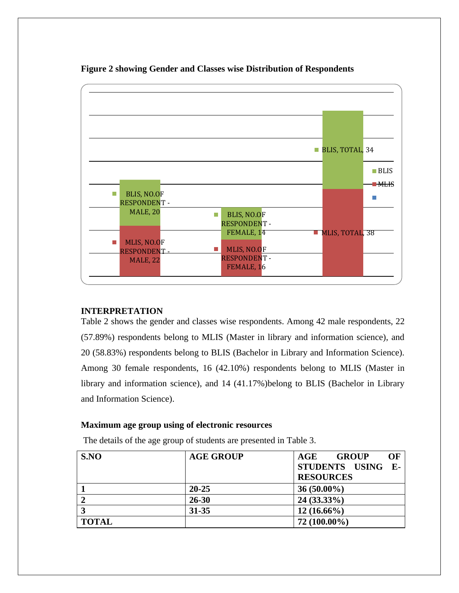

**Figure 2 showing Gender and Classes wise Distribution of Respondents**

## **INTERPRETATION**

Table 2 shows the gender and classes wise respondents. Among 42 male respondents, 22 (57.89%) respondents belong to MLIS (Master in library and information science), and 20 (58.83%) respondents belong to BLIS (Bachelor in Library and Information Science). Among 30 female respondents, 16 (42.10%) respondents belong to MLIS (Master in library and information science), and 14 (41.17%)belong to BLIS (Bachelor in Library and Information Science).

## **Maximum age group using of electronic resources**

The details of the age group of students are presented in Table 3.

| SNO          | <b>AGE GROUP</b> | OF<br>AGE<br><b>GROUP</b> |
|--------------|------------------|---------------------------|
|              |                  | STUDENTS USING<br>$E-$    |
|              |                  | <b>RESOURCES</b>          |
|              | $20 - 25$        | $36(50.00\%)$             |
|              | $26 - 30$        | $24(33.33\%)$             |
|              | $31 - 35$        | $12(16.66\%)$             |
| <b>TOTAL</b> |                  | $72(100.00\%)$            |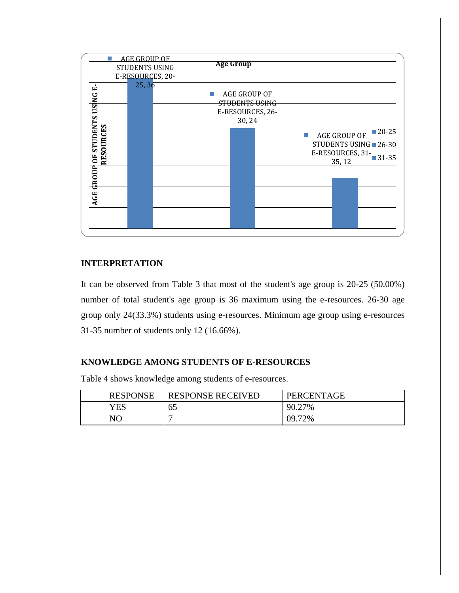

#### **INTERPRETATION**

It can be observed from Table 3 that most of the student's age group is 20-25 (50.00%) number of total student's age group is 36 maximum using the e-resources. 26-30 age group only 24(33.3%) students using e-resources. Minimum age group using e-resources 31-35 number of students only 12 (16.66%).

### **KNOWLEDGE AMONG STUDENTS OF E-RESOURCES**

Table 4 shows knowledge among students of e-resources.

| <b>RESPONSE</b> | <b>RESPONSE RECEIVED</b> | PERCENTAGE   |
|-----------------|--------------------------|--------------|
| YES             | 65                       | 90.27<br>27% |
| NO              |                          | 09.72%       |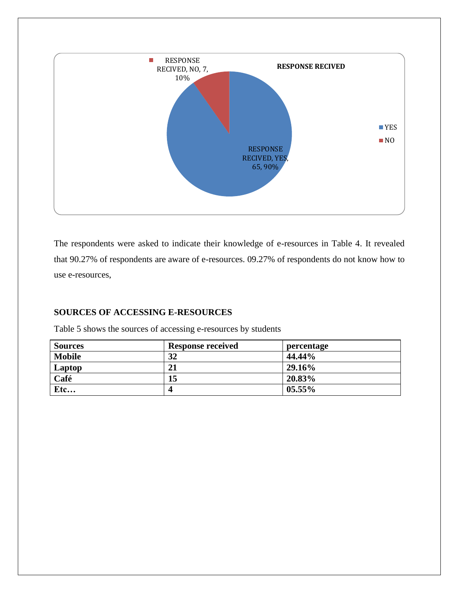

The respondents were asked to indicate their knowledge of e-resources in Table 4. It revealed that 90.27% of respondents are aware of e-resources. 09.27% of respondents do not know how to use e-resources,

## **SOURCES OF ACCESSING E-RESOURCES**

Table 5 shows the sources of accessing e-resources by students

| <b>Sources</b> | <b>Response received</b> | percentage |
|----------------|--------------------------|------------|
| <b>Mobile</b>  | 32                       | 44.44%     |
| Laptop         | 21                       | 29.16%     |
| Café           | 15                       | 20.83%     |
| Etc            |                          | $05.55\%$  |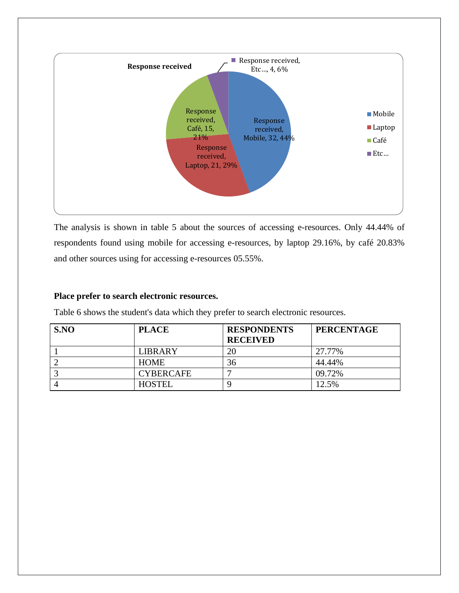

The analysis is shown in table 5 about the sources of accessing e-resources. Only 44.44% of respondents found using mobile for accessing e-resources, by laptop 29.16%, by café 20.83% and other sources using for accessing e-resources 05.55%.

## **Place prefer to search electronic resources.**

Table 6 shows the student's data which they prefer to search electronic resources.

| SNO | <b>PLACE</b>     | <b>RESPONDENTS</b><br><b>RECEIVED</b> | <b>PERCENTAGE</b> |
|-----|------------------|---------------------------------------|-------------------|
|     | <b>LIBRARY</b>   | 20                                    | 27.77%            |
|     | <b>HOME</b>      | 36                                    | 44.44%            |
|     | <b>CYBERCAFE</b> |                                       | 09.72%            |
|     | <b>HOSTEL</b>    |                                       | 12.5%             |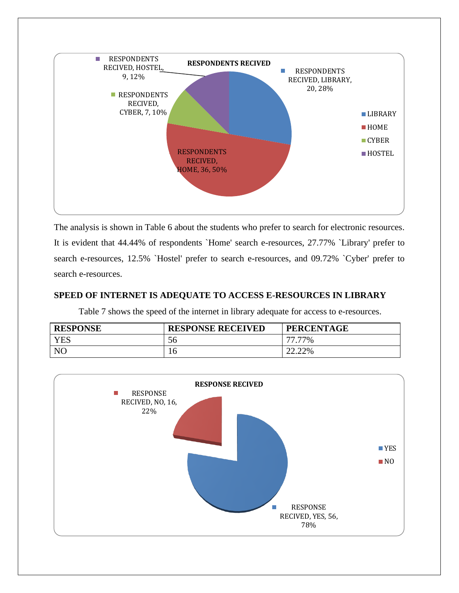

The analysis is shown in Table 6 about the students who prefer to search for electronic resources. It is evident that 44.44% of respondents `Home' search e-resources, 27.77% `Library' prefer to search e-resources, 12.5% `Hostel' prefer to search e-resources, and 09.72% `Cyber' prefer to search e-resources.

## **SPEED OF INTERNET IS ADEQUATE TO ACCESS E-RESOURCES IN LIBRARY**

Table 7 shows the speed of the internet in library adequate for access to e-resources.

| <b>RESPONSE</b> | <b>RESPONSE RECEIVED</b> | <b>PERCENTAGE</b> |
|-----------------|--------------------------|-------------------|
| <b>YES</b>      | 56                       | 77%               |
| N <sub>C</sub>  | 10                       | 22.22%            |

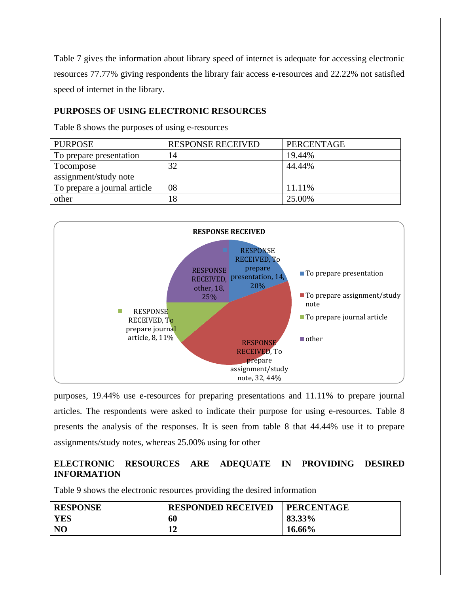Table 7 gives the information about library speed of internet is adequate for accessing electronic resources 77.77% giving respondents the library fair access e-resources and 22.22% not satisfied speed of internet in the library.

## **PURPOSES OF USING ELECTRONIC RESOURCES**

Table 8 shows the purposes of using e-resources

| <b>PURPOSE</b>               | <b>RESPONSE RECEIVED</b> | PERCENTAGE |
|------------------------------|--------------------------|------------|
| To prepare presentation      | 14                       | 19.44%     |
| Tocompose                    | 32                       | 44.44%     |
| assignment/study note        |                          |            |
| To prepare a journal article | 08                       | 11.11%     |
| other                        | 18                       | 25.00%     |



purposes, 19.44% use e-resources for preparing presentations and 11.11% to prepare journal articles. The respondents were asked to indicate their purpose for using e-resources. Table 8 presents the analysis of the responses. It is seen from table 8 that 44.44% use it to prepare assignments/study notes, whereas 25.00% using for other

## **ELECTRONIC RESOURCES ARE ADEQUATE IN PROVIDING DESIRED INFORMATION**

Table 9 shows the electronic resources providing the desired information

| <b>RESPONSE</b> | <b>RESPONDED RECEIVED</b> | <b>PERCENTAGE</b> |
|-----------------|---------------------------|-------------------|
| <b>YES</b>      | 60                        | 83.33%            |
| N <sub>O</sub>  | ۱ŋ<br>◢◢                  | 16.66%            |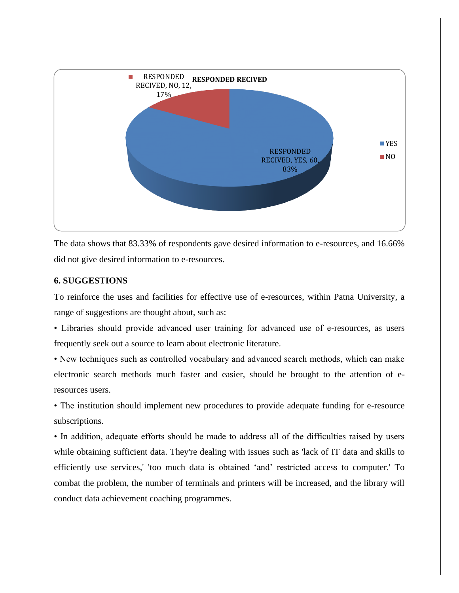

The data shows that 83.33% of respondents gave desired information to e-resources, and 16.66% did not give desired information to e-resources.

## **6. SUGGESTIONS**

To reinforce the uses and facilities for effective use of e-resources, within Patna University, a range of suggestions are thought about, such as:

• Libraries should provide advanced user training for advanced use of e-resources, as users frequently seek out a source to learn about electronic literature.

• New techniques such as controlled vocabulary and advanced search methods, which can make electronic search methods much faster and easier, should be brought to the attention of eresources users.

• The institution should implement new procedures to provide adequate funding for e-resource subscriptions.

• In addition, adequate efforts should be made to address all of the difficulties raised by users while obtaining sufficient data. They're dealing with issues such as 'lack of IT data and skills to efficiently use services,' 'too much data is obtained 'and' restricted access to computer.' To combat the problem, the number of terminals and printers will be increased, and the library will conduct data achievement coaching programmes.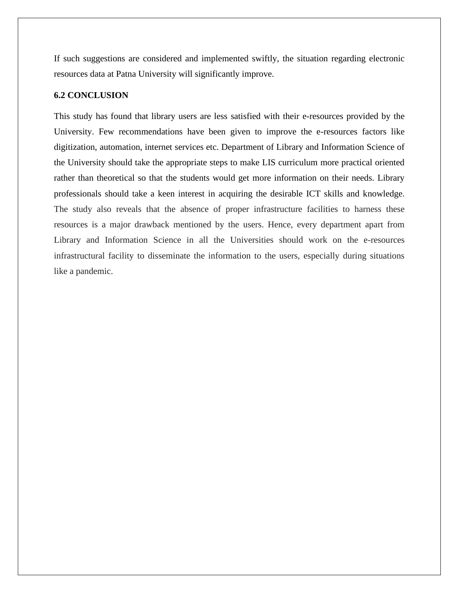If such suggestions are considered and implemented swiftly, the situation regarding electronic resources data at Patna University will significantly improve.

## **6.2 CONCLUSION**

This study has found that library users are less satisfied with their e-resources provided by the University. Few recommendations have been given to improve the e-resources factors like digitization, automation, internet services etc. Department of Library and Information Science of the University should take the appropriate steps to make LIS curriculum more practical oriented rather than theoretical so that the students would get more information on their needs. Library professionals should take a keen interest in acquiring the desirable ICT skills and knowledge. The study also reveals that the absence of proper infrastructure facilities to harness these resources is a major drawback mentioned by the users. Hence, every department apart from Library and Information Science in all the Universities should work on the e-resources infrastructural facility to disseminate the information to the users, especially during situations like a pandemic.